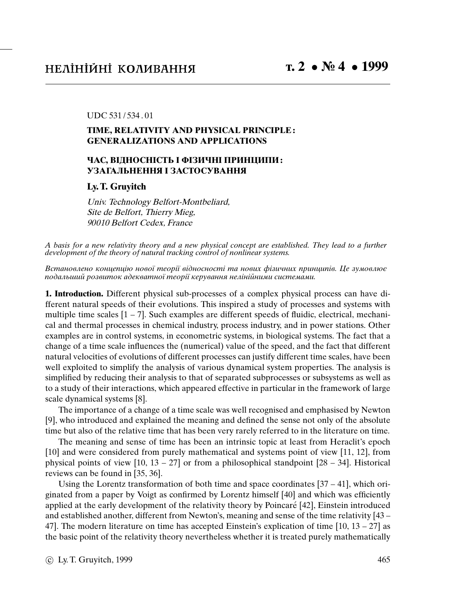#### UDC 531 / 534 . 01

# **TIME, RELATIVITY AND PHYSICAL PRINCIPLE : GENERALIZATIONS AND APPLICATIONS**

# **ЧАС, ВIДНОСНIСТЬ I ФIЗИЧНI ПРИНЦИПИ : УЗАГАЛЬНЕННЯ I ЗАСТОСУВАННЯ**

## **Ly. T. Gruyitch**

Univ. Technology Belfort-Montbeliard, Site de Belfort, Thierry Mieg, 90010 Belfort Cedex, France

A basis for a new relativity theory and a new physical concept are established. They lead to a further development of the theory of natural tracking control of nonlinear systems.

Встановлено концепцiю нової теорiї вiдносностi та нових фiзичних принципiв. Це зумовлює подальший розвиток адекватної теорiї керування нелiнiйними системами.

**1. Introduction.** Different physical sub-processes of a complex physical process can have different natural speeds of their evolutions. This inspired a study of processes and systems with multiple time scales  $[1 - 7]$ . Such examples are different speeds of fluidic, electrical, mechanical and thermal processes in chemical industry, process industry, and in power stations. Other examples are in control systems, in econometric systems, in biological systems. The fact that a change of a time scale influences the (numerical) value of the speed, and the fact that different natural velocities of evolutions of different processes can justify different time scales, have been well exploited to simplify the analysis of various dynamical system properties. The analysis is simplified by reducing their analysis to that of separated subprocesses or subsystems as well as to a study of their interactions, which appeared effective in particular in the framework of large scale dynamical systems [8].

The importance of a change of a time scale was well recognised and emphasised by Newton [9], who introduced and explained the meaning and defined the sense not only of the absolute time but also of the relative time that has been very rarely referred to in the literature on time.

The meaning and sense of time has been an intrinsic topic at least from Heraclit's epoch [10] and were considered from purely mathematical and systems point of view [11, 12], from physical points of view  $[10, 13 - 27]$  or from a philosophical standpoint  $[28 - 34]$ . Historical reviews can be found in [35, 36].

Using the Lorentz transformation of both time and space coordinates  $[37 - 41]$ , which originated from a paper by Voigt as confirmed by Lorentz himself [40] and which was efficiently applied at the early development of the relativity theory by Poincaré [42], Einstein introduced and established another, different from Newton's, meaning and sense of the time relativity [43 – 47]. The modern literature on time has accepted Einstein's explication of time  $[10, 13 - 27]$  as the basic point of the relativity theory nevertheless whether it is treated purely mathematically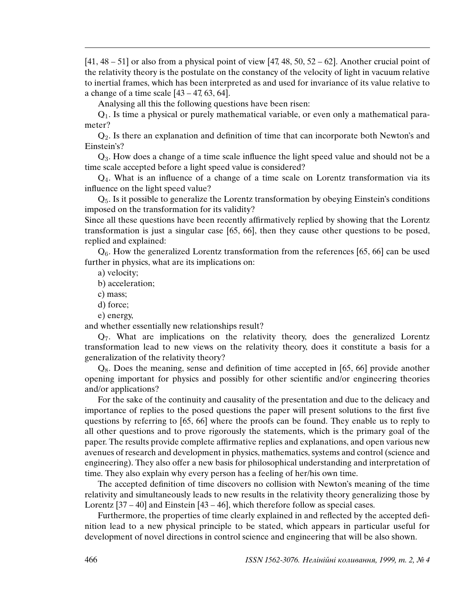$[41, 48 - 51]$  or also from a physical point of view  $[47, 48, 50, 52 - 62]$ . Another crucial point of the relativity theory is the postulate on the constancy of the velocity of light in vacuum relative to inertial frames, which has been interpreted as and used for invariance of its value relative to a change of a time scale  $[43 - 47, 63, 64]$ .

Analysing all this the following questions have been risen:

 $Q<sub>1</sub>$ . Is time a physical or purely mathematical variable, or even only a mathematical parameter?

 $Q<sub>2</sub>$ . Is there an explanation and definition of time that can incorporate both Newton's and Einstein's?

Q3. How does a change of a time scale influence the light speed value and should not be a time scale accepted before a light speed value is considered?

 $Q<sub>4</sub>$ . What is an influence of a change of a time scale on Lorentz transformation via its influence on the light speed value?

Q5. Is it possible to generalize the Lorentz transformation by obeying Einstein's conditions imposed on the transformation for its validity?

Since all these questions have been recently affirmatively replied by showing that the Lorentz transformation is just a singular case [65, 66], then they cause other questions to be posed, replied and explained:

 $Q_6$ . How the generalized Lorentz transformation from the references [65, 66] can be used further in physics, what are its implications on:

a) velocity;

b) acceleration;

c) mass;

d) force;

e) energy,

and whether essentially new relationships result?

Q7. What are implications on the relativity theory, does the generalized Lorentz transformation lead to new views on the relativity theory, does it constitute a basis for a generalization of the relativity theory?

 $Q_8$ . Does the meaning, sense and definition of time accepted in [65, 66] provide another opening important for physics and possibly for other scientific and/or engineering theories and/or applications?

For the sake of the continuity and causality of the presentation and due to the delicacy and importance of replies to the posed questions the paper will present solutions to the first five questions by referring to [65, 66] where the proofs can be found. They enable us to reply to all other questions and to prove rigorously the statements, which is the primary goal of the paper. The results provide complete affirmative replies and explanations, and open various new avenues of research and development in physics, mathematics, systems and control (science and engineering). They also offer a new basis for philosophical understanding and interpretation of time. They also explain why every person has a feeling of her/his own time.

The accepted definition of time discovers no collision with Newton's meaning of the time relativity and simultaneously leads to new results in the relativity theory generalizing those by Lorentz [37 – 40] and Einstein [43 – 46], which therefore follow as special cases.

Furthermore, the properties of time clearly explained in and reflected by the accepted definition lead to a new physical principle to be stated, which appears in particular useful for development of novel directions in control science and engineering that will be also shown.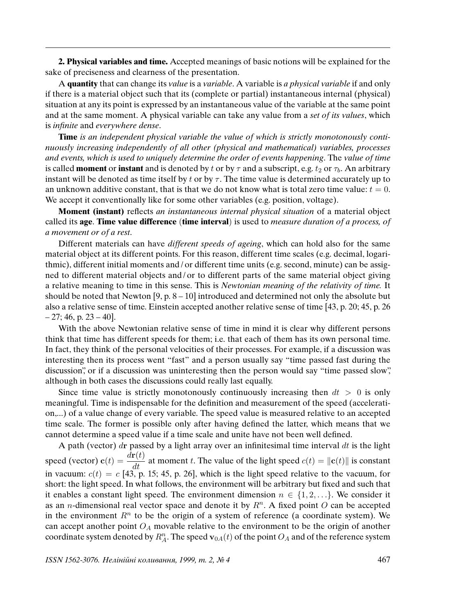**2. Physical variables and time.** Accepted meanings of basic notions will be explained for the sake of preciseness and clearness of the presentation.

A **quantity** that can change its value is a variable. A variable is a physical variable if and only if there is a material object such that its (complete or partial) instantaneous internal (physical) situation at any its point is expressed by an instantaneous value of the variable at the same point and at the same moment. A physical variable can take any value from a set of its values, which is in*fi*nite and everywhere dense.

**Time** is an independent physical variable the value of which is strictly monotonously continuously increasing independently of all other (physical and mathematical) variables, processes and events, which is used to uniquely determine the order of events happening. The value of time is called **moment** or **instant** and is denoted by t or by  $\tau$  and a subscript, e.g. t<sub>2</sub> or  $\tau_b$ . An arbitrary instant will be denoted as time itself by t or by  $\tau$ . The time value is determined accurately up to an unknown additive constant, that is that we do not know what is total zero time value:  $t = 0$ . We accept it conventionally like for some other variables (e.g. position, voltage).

**Moment (instant)** reflects an instantaneous internal physical situation of a material object called its **age**. **Time value difference** (**time interval**) is used to measure duration of a process, of a movement or of a rest.

Different materials can have *different speeds of ageing*, which can hold also for the same material object at its different points. For this reason, different time scales (e.g. decimal, logarithmic), different initial moments and / or different time units (e.g. second, minute) can be assigned to different material objects and / or to different parts of the same material object giving a relative meaning to time in this sense. This is Newtonian meaning of the relativity of time. It should be noted that Newton [9, p. 8 – 10] introduced and determined not only the absolute but also a relative sense of time. Einstein accepted another relative sense of time [43, p. 20; 45, p. 26  $-27$ ; 46, p. 23  $-40$ ].

With the above Newtonian relative sense of time in mind it is clear why different persons think that time has different speeds for them; i.e. that each of them has its own personal time. In fact, they think of the personal velocities of their processes. For example, if a discussion was interesting then its process went "fast" and a person usually say "time passed fast during the discussion", or if a discussion was uninteresting then the person would say "time passed slow", although in both cases the discussions could really last equally.

Since time value is strictly monotonously continuously increasing then  $dt > 0$  is only meaningful. Time is indispensable for the definition and measurement of the speed (acceleration,...) of a value change of every variable. The speed value is measured relative to an accepted time scale. The former is possible only after having defined the latter, which means that we cannot determine a speed value if a time scale and unite have not been well defined.

A path (vector) dr passed by a light array over an infinitesimal time interval  $dt$  is the light speed (vector)  $\mathbf{c}(t) = \frac{d\mathbf{r}(t)}{dt}$  at moment t. The value of the light speed  $c(t) = ||\mathbf{c}(t)||$  is constant in vacuum:  $c(t) = c$  [43, p. 15; 45, p. 26], which is the light speed relative to the vacuum, for short: the light speed. In what follows, the environment will be arbitrary but fixed and such that it enables a constant light speed. The environment dimension  $n \in \{1, 2, \ldots\}$ . We consider it as an *n*-dimensional real vector space and denote it by  $R<sup>n</sup>$ . A fixed point O can be accepted in the environment  $R<sup>n</sup>$  to be the origin of a system of reference (a coordinate system). We can accept another point  $O_A$  movable relative to the environment to be the origin of another coordinate system denoted by  $R_A^n$ . The speed  $\mathbf{v}_{0A}(t)$  of the point  $O_A$  and of the reference system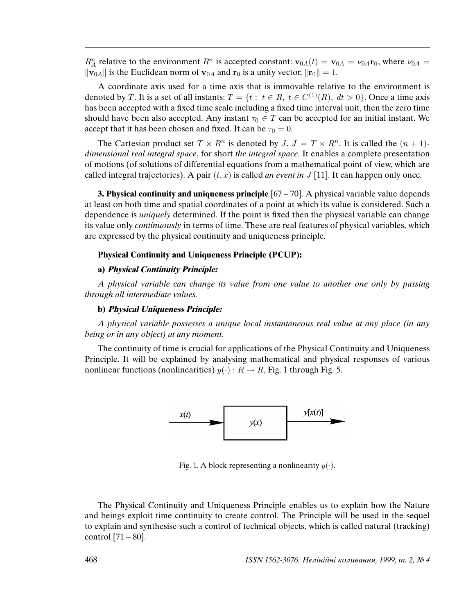$R_A^n$  relative to the environment  $R^n$  is accepted constant:  $\mathbf{v}_{0A}(t) = \mathbf{v}_{0A} = \nu_{0A}\mathbf{r}_0$ , where  $\nu_{0A} =$  $\|\mathbf{v}_{0A}\|$  is the Euclidean norm of  $\mathbf{v}_{0A}$  and  $\mathbf{r}_0$  is a unity vector,  $\|\mathbf{r}_0\| = 1$ .

A coordinate axis used for a time axis that is immovable relative to the environment is denoted by T. It is a set of all instants:  $T = \{t : t \in R, t \in C^{(1)}(R), dt > 0\}$ . Once a time axis has been accepted with a fixed time scale including a fixed time interval unit, then the zero time should have been also accepted. Any instant  $\tau_0 \in T$  can be accepted for an initial instant. We accept that it has been chosen and fixed. It can be  $\tau_0 = 0$ .

The Cartesian product set  $T \times R^n$  is denoted by  $J, J = T \times R^n$ . It is called the  $(n + 1)$ dimensional real integral space, for short the integral space. It enables a complete presentation of motions (of solutions of differential equations from a mathematical point of view, which are called integral trajectories). A pair  $(t, x)$  is called *an event in J* [11]. It can happen only once.

**3. Physical continuity and uniqueness principle** [67 – 70]. A physical variable value depends at least on both time and spatial coordinates of a point at which its value is considered. Such a dependence is *uniquely* determined. If the point is fixed then the physical variable can change its value only continuously in terms of time. These are real features of physical variables, which are expressed by the physical continuity and uniqueness principle.

#### **Physical Continuity and Uniqueness Principle (PCUP):**

#### **a) Physical Continuity Principle:**

A physical variable can change its value from one value to another one only by passing through all intermediate values.

#### **b) Physical Uniqueness Principle:**

A physical variable possesses a unique local instantaneous real value at any place (in any being or in any object) at any moment.

The continuity of time is crucial for applications of the Physical Continuity and Uniqueness Principle. It will be explained by analysing mathematical and physical responses of various nonlinear functions (nonlinearities)  $y(\cdot): R \to R$ , Fig. 1 through Fig. 5.



Fig. 1. A block representing a nonlinearity  $y(\cdot)$ .

The Physical Continuity and Uniqueness Principle enables us to explain how the Nature and beings exploit time continuity to create control. The Principle will be used in the sequel to explain and synthesise such a control of technical objects, which is called natural (tracking) control  $[71 - 80]$ .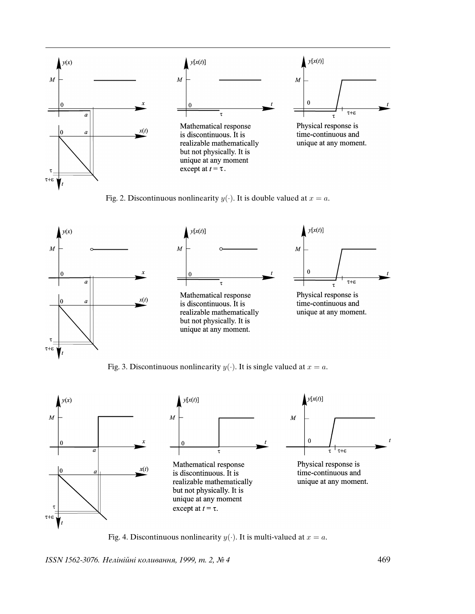





Fig. 3. Discontinuous nonlinearity  $y(\cdot)$ . It is single valued at  $x = a$ .



Fig. 4. Discontinuous nonlinearity  $y(\cdot)$ . It is multi-valued at  $x = a$ .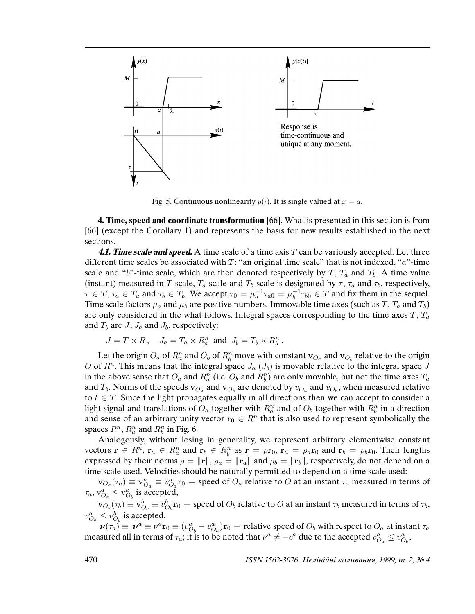

Fig. 5. Continuous nonlinearity  $y(\cdot)$ . It is single valued at  $x = a$ .

**4. Time, speed and coordinate transformation** [66]. What is presented in this section is from [66] (except the Corollary 1) and represents the basis for new results established in the next sections.

**4.1. Time scale and speed.** A time scale of a time axis T can be variously accepted. Let three different time scales be associated with  $T$ : "an original time scale" that is not indexed, "a"-time scale and "b"-time scale, which are then denoted respectively by T,  $T_a$  and  $T_b$ . A time value (instant) measured in T-scale,  $T_a$ -scale and  $T_b$ -scale is designated by  $\tau$ ,  $\tau_a$  and  $\tau_b$ , respectively,  $\tau \in T$ ,  $\tau_a \in T_a$  and  $\tau_b \in T_b$ . We accept  $\tau_0 = \mu_a^{-1} \tau_{a0} = \mu_b^{-1}$  $b_0^{-1} \tau_{b0} \in T$  and fix them in the sequel. Time scale factors  $\mu_a$  and  $\mu_b$  are positive numbers. Immovable time axes (such as T,  $T_a$  and  $T_b$ ) are only considered in the what follows. Integral spaces corresponding to the time axes  $T$ ,  $T_a$ and  $T_b$  are J,  $J_a$  and  $J_b$ , respectively:

$$
J = T \times R, \quad J_a = T_a \times R_a^n \text{ and } J_b = T_b \times R_b^n.
$$

Let the origin  $O_a$  of  $R_a^n$  and  $O_b$  of  $R_b^n$  move with constant  $\mathbf{v}_{O_a}$  and  $\mathbf{v}_{O_b}$  relative to the origin O of  $R<sup>n</sup>$ . This means that the integral space  $J_a(J_b)$  is movable relative to the integral space J in the above sense that  $O_a$  and  $R_a^n$  (i.e.  $O_b$  and  $R_b^n$ ) are only movable, but not the time axes  $T_a$ and  $T_b$ . Norms of the speeds  $\mathbf{v}_{O_a}$  and  $\mathbf{v}_{O_b}$  are denoted by  $v_{O_a}$  and  $v_{O_b}$ , when measured relative to  $t \in T$ . Since the light propagates equally in all directions then we can accept to consider a light signal and translations of  $O_a$  together with  $R_a^n$  and of  $O_b$  together with  $R_b^n$  in a direction and sense of an arbitrary unity vector  $r_0 \in R^n$  that is also used to represent symbolically the spaces  $R^n$ ,  $R_a^n$  and  $R_b^n$  in Fig. 6.

Analogously, without losing in generality, we represent arbitrary elementwise constant vectors  $\mathbf{r} \in R^n$ ,  $\mathbf{r}_a \in R_a^n$  and  $\mathbf{r}_b \in R_b^n$  as  $\mathbf{r} = \rho \mathbf{r}_0$ ,  $\mathbf{r}_a = \rho_a \mathbf{r}_0$  and  $\mathbf{r}_b = \rho_b \mathbf{r}_0$ . Their lengths expressed by their norms  $\rho = ||\mathbf{r}||$ ,  $\rho_a = ||\mathbf{r}_a||$  and  $\rho_b = ||\mathbf{r}_b||$ , respectively, do not depend on a time scale used. Velocities should be naturally permitted to depend on a time scale used:

 $\mathbf{v}_{O_a}(\tau_a) \equiv \mathbf{v}_{O_a}^a \equiv v_{O_a}^a \mathbf{r}_0$  – speed of  $O_a$  relative to O at an instant  $\tau_a$  measured in terms of  $\tau_a$ ,  $\mathbf{v}_{O_a}^a \leq \mathbf{v}_{O_b}^a$  is accepted,

 $\mathbf{v}_{O_b}(\tau_b)\equiv\mathbf{v}_{O_b}^b\equiv v_{O_b}^b\mathbf{r}_0$  — speed of  $O_b$  relative to  $O$  at an instant  $\tau_b$  measured in terms of  $\tau_b$ ,  $v_{O_a}^b \le v_{O_b}^b$  is accepted,

 $\nu(\tau_a) \equiv \nu^a \equiv \nu^a \mathbf{r}_0 \equiv (v_{O_b}^a - v_{O_a}^a) \mathbf{r}_0$  – relative speed of  $O_b$  with respect to  $O_a$  at instant  $\tau_a$ measured all in terms of  $\tau_a$ ; it is to be noted that  $\nu^a \neq -c^a$  due to the accepted  $v_{O_a}^a \leq v_{O_b}^a$ ,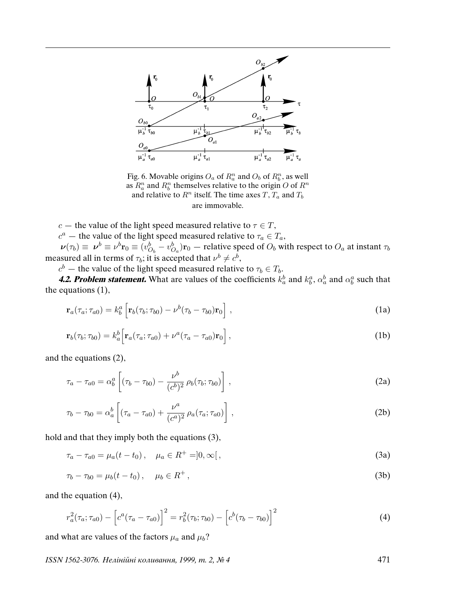

Fig. 6. Movable origins  $O_a$  of  $R_a^n$  and  $O_b$  of  $R_b^n$ , as well as  $R_a^n$  and  $R_b^n$  themselves relative to the origin O of  $R^n$ and relative to  $R^n$  itself. The time axes T,  $T_a$  and  $T_b$ are immovable.

c – the value of the light speed measured relative to  $\tau \in T$ ,

 $c^a$  — the value of the light speed measured relative to  $\tau_a \in T_a$ ,

 $\nu(\tau_b) \equiv \nu^b \equiv \nu^b \mathbf{r}_0 \equiv (v_{O_b}^b - v_{O_a}^b) \mathbf{r}_0$  — relative speed of  $O_b$  with respect to  $O_a$  at instant  $\tau_b$ measured all in terms of  $\tau_b$ ; it is accepted that  $\nu^b \neq c^b$ ,

 $c^b$  — the value of the light speed measured relative to  $\tau_b \in T_b$ .

**4.2. Problem statement.** What are values of the coefficients  $k_a^b$  and  $k_b^a$ ,  $\alpha_a^b$  and  $\alpha_b^a$  such that the equations (1),

$$
\mathbf{r}_a(\tau_a; \tau_{a0}) = k_b^a \left[ \mathbf{r}_b(\tau_b; \tau_{b0}) - \nu^b(\tau_b - \tau_{b0}) \mathbf{r}_0 \right], \qquad (1a)
$$

$$
\mathbf{r}_b(\tau_b; \tau_{b0}) = k_a^b \Big[ \mathbf{r}_a(\tau_a; \tau_{a0}) + \nu^a (\tau_a - \tau_{a0}) \mathbf{r}_0 \Big], \tag{1b}
$$

and the equations (2),

$$
\tau_a - \tau_{a0} = \alpha_b^a \left[ (\tau_b - \tau_{b0}) - \frac{\nu^b}{(c^b)^2} \rho_b(\tau_b; \tau_{b0}) \right],
$$
\n(2a)

$$
\tau_b - \tau_{b0} = \alpha_a^b \left[ (\tau_a - \tau_{a0}) + \frac{\nu^a}{(c^a)^2} \rho_a(\tau_a; \tau_{a0}) \right],
$$
\n(2b)

hold and that they imply both the equations (3),

 $\tau_a - \tau_{a0} = \mu_a (t - t_0), \quad \mu_a \in R^+ = ]0, \infty[,$ (3a)

$$
\tau_b - \tau_{b0} = \mu_b (t - t_0), \quad \mu_b \in R^+, \tag{3b}
$$

and the equation (4),

$$
r_a^2(\tau_a; \tau_{a0}) - \left[c^a(\tau_a - \tau_{a0})\right]^2 = r_b^2(\tau_b; \tau_{b0}) - \left[c^b(\tau_b - \tau_{b0})\right]^2 \tag{4}
$$

and what are values of the factors  $\mu_a$  and  $\mu_b$ ?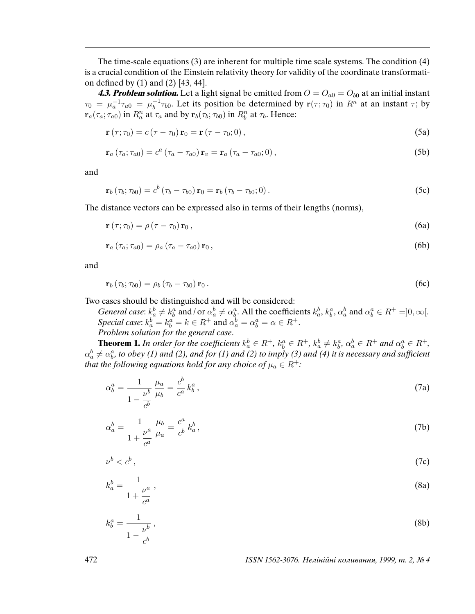The time-scale equations (3) are inherent for multiple time scale systems. The condition (4) is a crucial condition of the Einstein relativity theory for validity of the coordinate transformation defined by (1) and (2) [43, 44].

**4.3. Problem solution.** Let a light signal be emitted from  $O = O_{a0} = O_{b0}$  at an initial instant  $\tau_0 = \mu_a^{-1} \tau_{a0} = \mu_b^{-1}$  $t_b^{-1} \tau_{b0}$ . Let its position be determined by  $r(\tau; \tau_0)$  in  $R^n$  at an instant  $\tau$ ; by  $\mathbf{r}_a(\tau_a; \tau_{a0})$  in  $R_a^n$  at  $\tau_a$  and by  $\mathbf{r}_b(\tau_b; \tau_{b0})$  in  $R_b^n$  at  $\tau_b$ . Hence:

$$
\mathbf{r}\left(\tau;\tau_{0}\right)=c\left(\tau-\tau_{0}\right)\mathbf{r}_{0}=\mathbf{r}\left(\tau-\tau_{0};0\right),\tag{5a}
$$

$$
\mathbf{r}_{a}\left(\tau_{a};\tau_{a0}\right)=c^{a}\left(\tau_{a}-\tau_{a0}\right)\mathbf{r}_{v}=\mathbf{r}_{a}\left(\tau_{a}-\tau_{a0};0\right),\tag{5b}
$$

and

$$
\mathbf{r}_{b}\left(\tau_{b};\tau_{b0}\right)=c^{b}\left(\tau_{b}-\tau_{b0}\right)\mathbf{r}_{0}=\mathbf{r}_{b}\left(\tau_{b}-\tau_{b0};0\right).
$$
\n(5c)

The distance vectors can be expressed also in terms of their lengths (norms),

$$
\mathbf{r}\left(\tau;\tau_{0}\right) = \rho\left(\tau-\tau_{0}\right)\mathbf{r}_{0},\tag{6a}
$$

$$
\mathbf{r}_a \left( \tau_a; \tau_{a0} \right) = \rho_a \left( \tau_a - \tau_{a0} \right) \mathbf{r}_0 \,, \tag{6b}
$$

and

$$
\mathbf{r}_b \left( \tau_b; \tau_{b0} \right) = \rho_b \left( \tau_b - \tau_{b0} \right) \mathbf{r}_0 \,. \tag{6c}
$$

Two cases should be distinguished and will be considered:

*General case:*  $k_a^b \neq k_b^a$  and/or  $\alpha_a^b \neq \alpha_b^a$ . All the coefficients  $k_a^b$ ,  $k_b^a$ ,  $\alpha_a^b$  and  $\alpha_b^a \in R^+ = ]0, \infty[$ . Special case:  $k_a^b = k_b^a = k \in R^+$  and  $\alpha_a^b = \alpha_b^a = \alpha \in R^+$ .

Problem solution for the general case.

**Theorem 1.** In order for the coefficients  $k_a^b \in R^+$ ,  $k_b^a \in R^+$ ,  $k_a^b \neq k_b^a$ ,  $\alpha_a^b \in R^+$  and  $\alpha_b^a \in R^+$ ,  $\alpha_a^b\neq\alpha_b^a$ , to obey (1) and (2), and for (1) and (2) to imply (3) and (4) it is necessary and sufficient that the following equations hold for any choice of  $\mu_a \in R^+$ :

$$
\alpha_b^a = \frac{1}{1 - \frac{\nu^b}{c^b}} \frac{\mu_a}{\mu_b} = \frac{c^b}{c^a} k_b^a,
$$
\n(7a)

$$
\alpha_a^b = \frac{1}{1 + \frac{\nu^a}{c^a}} \frac{\mu_b}{\mu_a} = \frac{c^a}{c^b} k_a^b,
$$
\n(7b)

$$
\nu^b < c^b \,,\tag{7c}
$$

$$
k_a^b = \frac{1}{1 + \frac{\nu^a}{c^a}},\tag{8a}
$$

$$
k_b^a = \frac{1}{1 - \frac{\nu^b}{c^b}},\tag{8b}
$$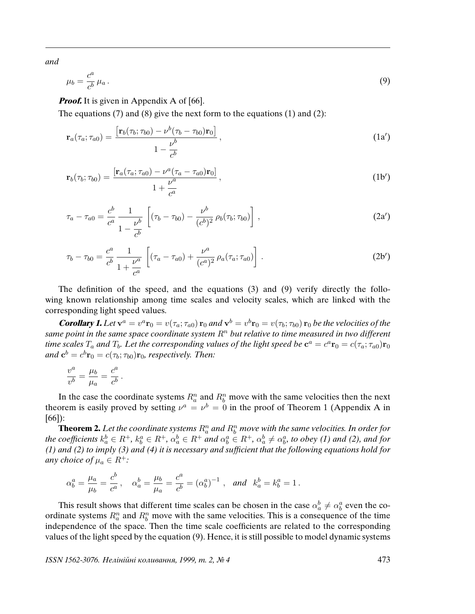and

$$
\mu_b = \frac{c^a}{c^b} \mu_a \,. \tag{9}
$$

*Proof.* It is given in Appendix A of [66].

The equations  $(7)$  and  $(8)$  give the next form to the equations  $(1)$  and  $(2)$ :

$$
\mathbf{r}_a(\tau_a; \tau_{a0}) = \frac{\left[\mathbf{r}_b(\tau_b; \tau_{b0}) - \nu^b(\tau_b - \tau_{b0})\mathbf{r}_0\right]}{1 - \frac{\nu^b}{c^b}},
$$
\n(1a')

$$
\mathbf{r}_b(\tau_b; \tau_{b0}) = \frac{\left[\mathbf{r}_a(\tau_a; \tau_{a0}) - \nu^a(\tau_a - \tau_{a0})\mathbf{r}_0\right]}{1 + \frac{\nu^a}{c^a}},\tag{1b'}
$$

$$
\tau_a - \tau_{a0} = \frac{c^b}{c^a} \frac{1}{1 - \frac{\nu^b}{c^b}} \left[ (\tau_b - \tau_{b0}) - \frac{\nu^b}{(c^b)^2} \rho_b(\tau_b; \tau_{b0}) \right], \qquad (2a')
$$

$$
\tau_b - \tau_{b0} = \frac{c^a}{c^b} \frac{1}{1 + \frac{\nu^a}{c^a}} \left[ (\tau_a - \tau_{a0}) + \frac{\nu^a}{(c^a)^2} \rho_a(\tau_a; \tau_{a0}) \right]. \tag{2b'}
$$

The definition of the speed, and the equations (3) and (9) verify directly the following known relationship among time scales and velocity scales, which are linked with the corresponding light speed values.

**Corollary 1.** Let  $\mathbf{v}^a = v^a \mathbf{r}_0 = v(\tau_a; \tau_{a0}) \mathbf{r}_0$  and  $\mathbf{v}^b = v^b \mathbf{r}_0 = v(\tau_b; \tau_{b0}) \mathbf{r}_0$  be the velocities of the same point in the same space coordinate system  $R<sup>n</sup>$  but relative to time measured in two different time scales  $T_a$  and  $T_b$ . Let the corresponding values of the light speed be  ${\bf c}^a=c^a{\bf r}_0=c(\tau_a;\tau_{a0}){\bf r}_0$ and  $\mathbf{c}^b=c^b\mathbf{r}_0=c(\tau_b;\tau_{b0})\mathbf{r}_0$ , respectively. Then:

$$
\frac{v^a}{v^b} = \frac{\mu_b}{\mu_a} = \frac{c^a}{c^b}.
$$

In the case the coordinate systems  $R_a^n$  and  $R_b^n$  move with the same velocities then the next theorem is easily proved by setting  $v^a = v^b = 0$  in the proof of Theorem 1 (Appendix A in [66]):

**Theorem 2.** Let the coordinate systems  $R_a^n$  and  $R_b^n$  move with the same velocities. In order for the coefficients  $k_a^b \in R^+$ ,  $k_b^a \in R^+$ ,  $\alpha_a^b \in R^+$  and  $\alpha_b^a \in R^+$ ,  $\alpha_a^b \neq \alpha_b^a$ , to obey (1) and (2), and for (1) and (2) to imply (3) and (4) it is necessary and suf*fi*cient that the following equations hold for any choice of  $\mu_a \in R^+$ :

$$
\alpha_b^a = \frac{\mu_a}{\mu_b} = \frac{c^b}{c^a}, \quad \alpha_a^b = \frac{\mu_b}{\mu_a} = \frac{c^a}{c^b} = (\alpha_b^a)^{-1}, \text{ and } k_a^b = k_b^a = 1.
$$

This result shows that different time scales can be chosen in the case  $\alpha_a^b \neq \alpha_b^a$  even the coordinate systems  $R_a^n$  and  $R_b^n$  move with the same velocities. This is a consequence of the time independence of the space. Then the time scale coefficients are related to the corresponding values of the light speed by the equation (9). Hence, it is still possible to model dynamic systems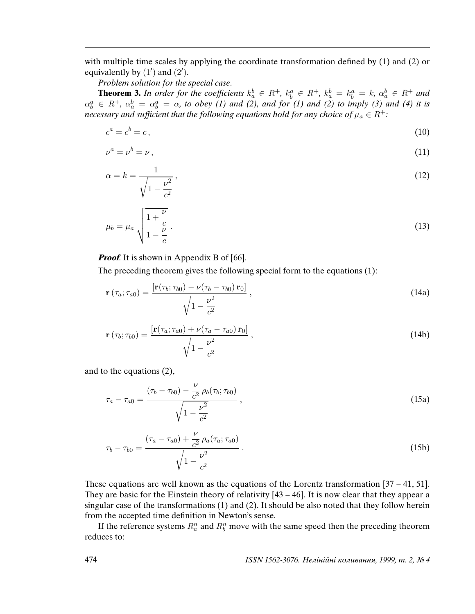with multiple time scales by applying the coordinate transformation defined by (1) and (2) or equivalently by  $(1')$  and  $(2')$ .

Problem solution for the special case.

**Theorem 3.** In order for the coefficients  $k_a^b \in R^+$ ,  $k_b^a \in R^+$ ,  $k_a^b = k_b^a = k$ ,  $\alpha_a^b \in R^+$  and  $\alpha_b^a \in R^+$ ,  $\alpha_a^b = \alpha_b^a = \alpha$ , to obey (1) and (2), and for (1) and (2) to imply (3) and (4) it is necessary and sufficient that the following equations hold for any choice of  $\mu_a \in R^+$ :

$$
c^a = c^b = c,\tag{10}
$$

$$
\nu^a = \nu^b = \nu \,,\tag{11}
$$

$$
\alpha = k = \frac{1}{\sqrt{1 - \frac{\nu^2}{c^2}}},\tag{12}
$$

$$
\mu_b = \mu_a \sqrt{\frac{1 + \frac{\nu}{c}}{1 - \frac{\nu}{c}}} \,. \tag{13}
$$

### *Proof.* It is shown in Appendix B of [66].

The preceding theorem gives the following special form to the equations (1):

$$
\mathbf{r}\left(\tau_a;\tau_{a0}\right) = \frac{\left[\mathbf{r}(\tau_b;\tau_{b0}) - \nu(\tau_b - \tau_{b0})\,\mathbf{r}_0\right]}{\sqrt{1 - \frac{\nu^2}{c^2}}},\tag{14a}
$$

$$
\mathbf{r}\left(\tau_{b};\tau_{b0}\right) = \frac{\left[\mathbf{r}\left(\tau_{a};\tau_{a0}\right) + \nu\left(\tau_{a} - \tau_{a0}\right)\mathbf{r}_{0}\right]}{\sqrt{1 - \frac{\nu^{2}}{c^{2}}}}\,,\tag{14b}
$$

and to the equations (2),

$$
\tau_a - \tau_{a0} = \frac{(\tau_b - \tau_{b0}) - \frac{\nu}{c^2} \rho_b(\tau_b; \tau_{b0})}{\sqrt{1 - \frac{\nu^2}{c^2}}},
$$
\n(15a)

$$
\tau_b - \tau_{b0} = \frac{(\tau_a - \tau_{a0}) + \frac{\nu}{c^2} \rho_a(\tau_a; \tau_{a0})}{\sqrt{1 - \frac{\nu^2}{c^2}}}.
$$
\n(15b)

These equations are well known as the equations of the Lorentz transformation  $[37 - 41, 51]$ . They are basic for the Einstein theory of relativity [43 – 46]. It is now clear that they appear a singular case of the transformations (1) and (2). It should be also noted that they follow herein from the accepted time definition in Newton's sense.

If the reference systems  $R_a^n$  and  $R_b^n$  move with the same speed then the preceding theorem reduces to: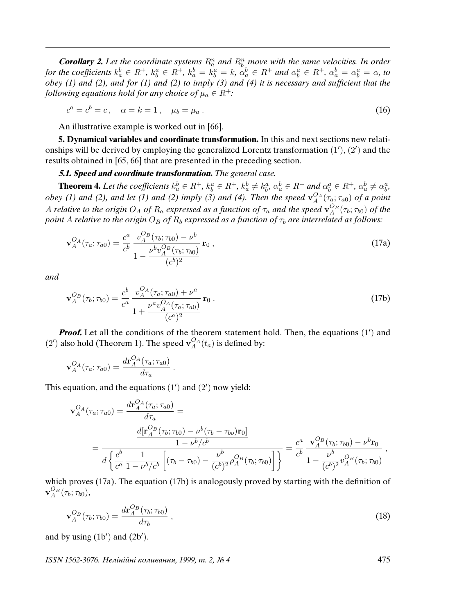**Corollary 2.** Let the coordinate systems  $R_a^n$  and  $R_b^n$  move with the same velocities. In order for the coefficients  $k_a^b \in R^+$ ,  $k_b^a \in R^+$ ,  $k_a^b = k_a^a = k$ ,  $\alpha_a^b \in R^+$  and  $\alpha_b^a \in R^+$ ,  $\alpha_a^b = \alpha_b^a = \alpha$ , to obey (1) and (2), and for (1) and (2) to imply (3) and (4) it is necessary and suf*fi*cient that the following equations hold for any choice of  $\mu_a \in R^+$ :

$$
c^a = c^b = c, \quad \alpha = k = 1, \quad \mu_b = \mu_a \,. \tag{16}
$$

An illustrative example is worked out in [66].

**5. Dynamical variables and coordinate transformation.** In this and next sections new relationships will be derived by employing the generalized Lorentz transformation  $(1')$ ,  $(2')$  and the results obtained in [65, 66] that are presented in the preceding section.

# **5.1. Speed and coordinate transformation.** The general case.

**Theorem 4.** Let the coefficients  $k_a^b \in R^+$ ,  $k_b^a \in R^+$ ,  $k_a^b \neq k_b^a$ ,  $\alpha_a^b \in R^+$  and  $\alpha_b^a \in R^+$ ,  $\alpha_a^b \neq \alpha_b^a$ , obey (1) and (2), and let (1) and (2) imply (3) and (4). Then the speed  $v_A^{O_A}(\tau_a; \tau_{a0})$  of a point A relative to the origin  $O_A$  of  $R_a$  expressed as a function of  $\tau_a$  and the speed  ${\bf v}^{O_B}_A(\tau_b; \tau_{b0})$  of the point A relative to the origin  $O_B$  of  $R_b$  expressed as a function of  $\tau_b$  are interrelated as follows:

$$
\mathbf{v}_{A}^{O_A}(\tau_a; \tau_{a0}) = \frac{c^a}{c^b} \frac{v_{A}^{O_B}(\tau_b; \tau_{b0}) - \nu^b}{1 - \frac{\nu^b v_{A}^{O_B}(\tau_b; \tau_{b0})}{(c^b)^2}} \mathbf{r}_0,
$$
\n(17a)

and

$$
\mathbf{v}_{A}^{O_B}(\tau_b; \tau_{b0}) = \frac{c^b}{c^a} \frac{v_{A}^{O_A}(\tau_a; \tau_{a0}) + \nu^a}{1 + \frac{\nu^a v_{A}^{O_A}(\tau_a; \tau_{a0})}{(c^a)^2}} \mathbf{r}_0.
$$
\n(17b)

**Proof.** Let all the conditions of the theorem statement hold. Then, the equations  $(1')$  and (2') also hold (Theorem 1). The speed  $\mathbf{v}_{A}^{O_{A}}(t_{a})$  is defined by:

$$
\mathbf{v}_{A}^{O_A}(\tau_a; \tau_{a0}) = \frac{d\mathbf{r}_{A}^{O_A}(\tau_a; \tau_{a0})}{d\tau_a}.
$$

This equation, and the equations  $(1')$  and  $(2')$  now yield:

$$
\mathbf{v}_{A}^{O_{A}}(\tau_{a};\tau_{a0}) = \frac{d\mathbf{r}_{A}^{O_{A}}(\tau_{a};\tau_{a0})}{d\tau_{a}} = \n= \frac{d[\mathbf{r}_{A}^{O_{B}}(\tau_{b};\tau_{b0}) - \nu^{b}(\tau_{b} - \tau_{b0})\mathbf{r}_{0}]}{d\left\{\frac{c^{b}}{c^{a}}\frac{1}{1 - \nu^{b}/c^{b}}\left[(\tau_{b} - \tau_{b0}) - \frac{\nu^{b}}{(c^{b})^{2}}\rho_{A}^{O_{B}}(\tau_{b};\tau_{b0})\right]\right\}} = \frac{c^{a}}{c^{b}}\frac{\mathbf{v}_{A}^{O_{B}}(\tau_{b};\tau_{b0}) - \nu^{b}\mathbf{r}_{0}}{1 - \frac{\nu^{b}}{(c^{b})^{2}}\nu_{A}^{O_{B}}(\tau_{b};\tau_{b0})},
$$

which proves (17a). The equation (17b) is analogously proved by starting with the definition of  $\mathbf{v}_{A}^{O_{B}}(\tau_{b};\tau_{b0}),$ 

$$
\mathbf{v}_A^{O_B}(\tau_b; \tau_{b0}) = \frac{d\mathbf{r}_A^{O_B}(\tau_b; \tau_{b0})}{d\tau_b} \,, \tag{18}
$$

and by using  $(1b')$  and  $(2b')$ .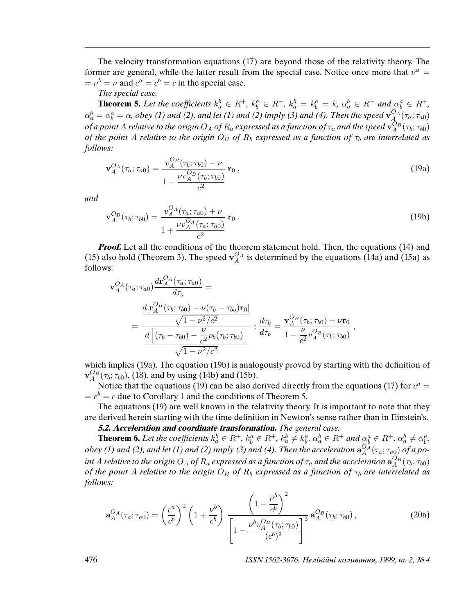The velocity transformation equations (17) are beyond those of the relativity theory. The former are general, while the latter result from the special case. Notice once more that  $v^a$  =  $= v^b = v$  and  $c^a = c^b = c$  in the special case.

## The special case.

**Theorem 5.** Let the coefficients  $k_a^b \in R^+$ ,  $k_b^a \in R^+$ ,  $k_a^b = k_b^a = k$ ,  $\alpha_a^b \in R^+$  and  $\alpha_b^a \in R^+$ ,  $\alpha^b_a=\alpha^a_b=\alpha$ , obey (1) and (2), and let (1) and (2) imply (3) and (4). Then the speed  ${\bf v}^{O_A}_A(\tau_a;\tau_{a0})$ of a point A relative to the origin  $O_A$  of  $R_a$  expressed as a function of  $\tau_a$  and the speed  ${\bf v}^{O_B}_A(\tau_b;\tau_{b0})$ of the point A relative to the origin  $O_B$  of  $R_b$  expressed as a function of  $\tau_b$  are interrelated as follows:

$$
\mathbf{v}_{A}^{O_A}(\tau_a; \tau_{a0}) = \frac{v_{A}^{O_B}(\tau_b; \tau_{b0}) - \nu}{1 - \frac{\nu v_{A}^{O_B}(\tau_b; \tau_{b0})}{c^2}} \mathbf{r}_0,
$$
\n(19a)

and

$$
\mathbf{v}_{A}^{O_B}(\tau_b; \tau_{b0}) = \frac{v_{A}^{O_A}(\tau_a; \tau_{a0}) + \nu}{1 + \frac{\nu v_{A}^{O_A}(\tau_a; \tau_{a0})}{c^2}} \mathbf{r}_0.
$$
\n(19b)

**Proof.** Let all the conditions of the theorem statement hold. Then, the equations (14) and (15) also hold (Theorem 3). The speed  $\mathbf{v}_{A}^{O_A}$  is determined by the equations (14a) and (15a) as follows:

$$
\mathbf{v}_{A}^{O_{A}}(\tau_{a};\tau_{a0})\frac{d\mathbf{r}_{A}^{O_{A}}(\tau_{a};\tau_{a0})}{d\tau_{a}} = \frac{d[\mathbf{r}_{A}^{O_{B}}(\tau_{b};\tau_{b0}) - \nu(\tau_{b} - \tau_{bo})\mathbf{r}_{0}]}{\sqrt{1 - \nu^{2}/c^{2}}} = \frac{\sqrt{1 - \nu^{2}/c^{2}}}{\frac{d\left[(\tau_{b} - \tau_{b0}) - \frac{\nu}{c^{2}}\rho_{b}(\tau_{b};\tau_{b0})\right]}{\sqrt{1 - \nu^{2}/c^{2}}}} \div \frac{d\tau_{b}}{d\tau_{b}} = \frac{\mathbf{v}_{A}^{O_{B}}(\tau_{b};\tau_{b0}) - \nu\mathbf{r}_{0}}{1 - \frac{\nu}{c^{2}}v_{A}^{O_{B}}(\tau_{b};\tau_{b0})},
$$

which implies (19a). The equation (19b) is analogously proved by starting with the definition of  $\mathbf{v}_{A}^{O_{B}}(\tau_{b};\tau_{b0}),$  (18), and by using (14b) and (15b).

Notice that the equations (19) can be also derived directly from the equations (17) for  $c^a$  =  $b = c<sup>b</sup> = c$  due to Corollary 1 and the conditions of Theorem 5.

The equations (19) are well known in the relativity theory. It is important to note that they are derived herein starting with the time definition in Newton's sense rather than in Einstein's.

**5.2. Acceleration and coordinate transformation.** The general case.

**Theorem 6.** Let the coefficients  $k_a^b \in R^+$ ,  $k_b^a \in R^+$ ,  $k_a^b \neq k_b^a$ ,  $\alpha_a^b \in R^+$  and  $\alpha_b^a \in R^+$ ,  $\alpha_a^b \neq \alpha_b^a$ , obey (1) and (2), and let (1) and (2) imply (3) and (4). Then the acceleration  ${\bf a}_A^{O_A}(\tau_a;\tau_{a0})$  of a point A relative to the origin  $O_A$  of  $R_a$  expressed as a function of  $\tau_a$  and the acceleration  ${\bf a}^{O_B}_A(\tau_b; \tau_{b0})$ of the point A relative to the origin  $O_B$  of  $R_b$  expressed as a function of  $\tau_b$  are interrelated as follows:

$$
\mathbf{a}_{A}^{OA}(\tau_{a};\tau_{a0}) = \left(\frac{c^{a}}{c^{b}}\right)^{2} \left(1 + \frac{\nu^{b}}{c^{b}}\right) \frac{\left(1 - \frac{\nu^{b}}{c^{b}}\right)^{2}}{\left[1 - \frac{\nu^{b}v_{A}^{O_{B}}(\tau_{b};\tau_{b0})}{(c^{b})^{2}}\right]^{3}} \mathbf{a}_{A}^{O_{B}}(\tau_{b};\tau_{b0}), \qquad (20a)
$$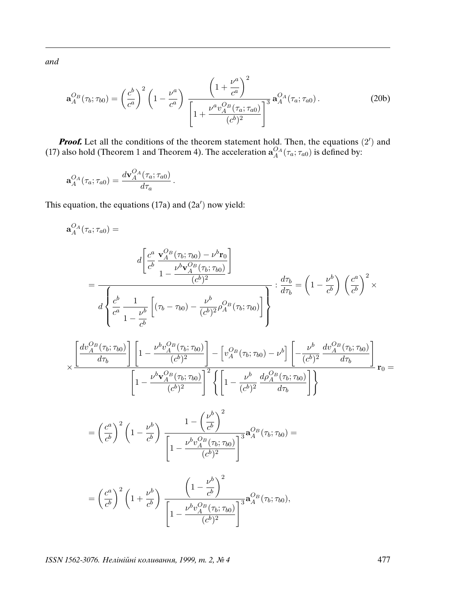and

$$
\mathbf{a}_{A}^{O_{B}}(\tau_{b};\tau_{b0}) = \left(\frac{c^{b}}{c^{a}}\right)^{2} \left(1 - \frac{\nu^{a}}{c^{a}}\right) \frac{\left(1 + \frac{\nu^{a}}{c^{a}}\right)^{2}}{\left[1 + \frac{\nu^{a} \nu_{A}^{O_{B}}(\tau_{a};\tau_{a0})}{(c^{b})^{2}}\right]^{3}} \mathbf{a}_{A}^{O_{A}}(\tau_{a};\tau_{a0}).
$$
\n(20b)

**Proof.** Let all the conditions of the theorem statement hold. Then, the equations  $(2')$  and (17) also hold (Theorem 1 and Theorem 4). The acceleration  $a_A^{O_A}(\tau_a; \tau_{a0})$  is defined by:

$$
\mathbf{a}_A^{OA}(\tau_a; \tau_{a0}) = \frac{d\mathbf{v}_A^{OA}(\tau_a; \tau_{a0})}{d\tau_a}.
$$

This equation, the equations  $(17a)$  and  $(2a')$  now yield:

$$
\mathbf{a}_{A}^{OA}(\tau_{a};\tau_{a0}) = d\left[\frac{c^{a}}{c^{b}}\frac{\mathbf{v}_{A}^{O_{B}}(\tau_{b};\tau_{b0}) - \nu^{b}\mathbf{r}_{0}}{1 - \frac{\nu^{b}\mathbf{v}_{A}^{O_{B}}(\tau_{b};\tau_{b0})}{(c^{b})^{2}}}\right]
$$
\n
$$
= \frac{d\left\{\frac{c^{b}}{c^{a}}\frac{1}{1 - \frac{\nu^{b}}{c^{b}}}\left[(\tau_{b} - \tau_{b0}) - \frac{\nu^{b}}{(c^{b})^{2}}\rho_{A}^{O_{B}}(\tau_{b};\tau_{b0})\right]\right\}} : \frac{d\tau_{b}}{d\tau_{b}} = \left(1 - \frac{\nu^{b}}{c^{b}}\right)\left(\frac{c^{a}}{c^{b}}\right)^{2} \times \frac{d\tau_{b}}{d\tau_{b}}
$$
\n
$$
\times \frac{\left[\frac{d\mathbf{v}_{A}^{O_{B}}(\tau_{b};\tau_{b0})}{d\tau_{b}}\right]\left[1 - \frac{\nu^{b}\mathbf{v}_{A}^{O_{B}}(\tau_{b};\tau_{b0})}{(c^{b})^{2}}\right] - \left[\nu_{A}^{O_{B}}(\tau_{b};\tau_{b0}) - \nu^{b}\right]\left[-\frac{\nu^{b}}{(c^{b})^{2}}\frac{d\mathbf{v}_{A}^{O_{B}}(\tau_{b};\tau_{b0})}{d\tau_{b}}\right]}{d\tau_{b}}
$$
\n
$$
= \left(\frac{c^{a}}{c^{b}}\right)^{2}\left(1 - \frac{\nu^{b}}{c^{b}}\right)\frac{1 - \left(\frac{\nu^{b}}{c^{b}}\right)^{2}}{1 - \frac{\nu^{b}\mathbf{v}_{A}^{O_{B}}(\tau_{b};\tau_{b0})}{(c^{b})^{2}}\right]^{3}}\mathbf{a}_{A}^{O_{B}}(\tau_{b};\tau_{b0}) =
$$
\n
$$
= \left(\frac{c^{a}}{c^{b}}\right)^{2}\left(1 + \frac{\nu^{b}}{c^{b}}\right)\frac{1 - \left(\frac{\nu^{b}}{c^{b}}\right)^{2}}{1 - \frac{\nu^{b}\mathbf{v}_{A}^{O_{B}}(\tau_{b};\tau_{b0})}{(c^{b})^{2}}\right]
$$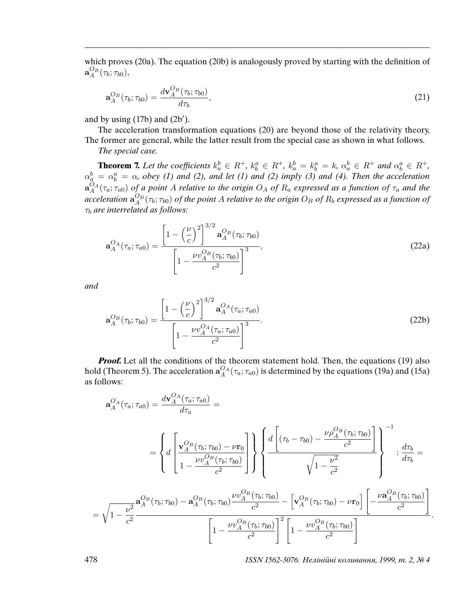which proves (20a). The equation (20b) is analogously proved by starting with the definition of  $\mathbf{a}_A^{O_B}(\tau_b;\tau_{b0}),$ 

$$
\mathbf{a}_A^{O_B}(\tau_b; \tau_{b0}) = \frac{d\mathbf{v}_A^{O_B}(\tau_b; \tau_{b0})}{d\tau_b},\tag{21}
$$

and by using  $(17b)$  and  $(2b')$ .

The acceleration transformation equations (20) are beyond those of the relativity theory, The former are general, while the latter result from the special case as shown in what follows.

The special case.

**Theorem 7.** Let the coefficients  $k_a^b \in R^+$ ,  $k_b^a \in R^+$ ,  $k_a^b = k_b^a = k$ ,  $\alpha_a^b \in R^+$  and  $\alpha_b^a \in R^+$ ,  $\alpha_{a}^{b} = \alpha_{b}^{a} = \alpha$ , obey (1) and (2), and let (1) and (2) imply (3) and (4). Then the acceleration  $\mathbf{a}_A^{O_A}(\tau_a;\tau_{a0})$  of a point A relative to the origin  $O_A$  of  $R_a$  expressed as a function of  $\tau_a$  and the acceleration  $\mathbf{a}_A^{O_B}(\tau_b; \tau_{b0})$  of the point A relative to the origin  $O_B$  of  $R_b$  expressed as a function of  $\tau_b$  are interrelated as follows:

$$
\mathbf{a}_{A}^{O_{A}}(\tau_{a};\tau_{a0}) = \frac{\left[1 - \left(\frac{\nu}{c}\right)^{2}\right]^{3/2} \mathbf{a}_{A}^{O_{B}}(\tau_{b};\tau_{b0})}{\left[1 - \frac{\nu v_{A}^{O_{B}}(\tau_{b};\tau_{b0})}{c^{2}}\right]^{3}},
$$
\n(22a)

and

$$
\mathbf{a}_{A}^{O_{B}}(\tau_{b};\tau_{b0}) = \frac{\left[1 - \left(\frac{\nu}{c}\right)^{2}\right]^{3/2} \mathbf{a}_{A}^{O_{A}}(\tau_{a};\tau_{a0})}{\left[1 - \frac{\nu v_{A}^{O_{A}}(\tau_{a};\tau_{a0})}{c^{2}}\right]^{3}}.
$$
\n(22b)

**Proof.** Let all the conditions of the theorem statement hold. Then, the equations (19) also hold (Theorem 5). The acceleration  $\mathbf{a}_{A}^{O_{A}}(\tau_a; \tau_{a0})$  is determined by the equations (19a) and (15a) as follows:

$$
\mathbf{a}_{A}^{O_{A}}(\tau_{a};\tau_{a0}) = \frac{d\mathbf{v}_{A}^{O_{A}}(\tau_{a};\tau_{a0})}{d\tau_{a}} = \frac{d\mathbf{v}_{A}^{O_{B}}(\tau_{a};\tau_{a0})}{d\tau_{a}} = \left\{ d \left[ \frac{\mathbf{v}_{A}^{O_{B}}(\tau_{b};\tau_{b0}) - \nu \mathbf{r}_{0}}{1 - \frac{\nu v_{A}^{O_{B}}(\tau_{b};\tau_{b0})}{c^{2}}} \right] \right\} \left\{ \frac{d \left[ (\tau_{b} - \tau_{b0}) - \frac{\nu \rho_{A}^{O_{B}}(\tau_{b};\tau_{b0})}{c^{2}} \right]}{\sqrt{1 - \frac{\nu^{2}}{c^{2}}}} \right\} \cdot \frac{d\tau_{b}}{d\tau_{b}} = \frac{d\tau_{b}}{d\tau_{b}} = \frac{d\tau_{b}}{d\tau_{b}} = \frac{d\tau_{b}}{d\tau_{b}} = \frac{d\tau_{b}^{O_{B}}(\tau_{b};\tau_{b0}) - \mathbf{a}_{A}^{O_{B}}(\tau_{b};\tau_{b0}) - \nu \mathbf{a}_{A}^{O_{B}}(\tau_{b};\tau_{b0}) - \nu \mathbf{a}_{A}^{O_{B}}(\tau_{b};\tau_{b0})}{c^{2}} - \left[ \mathbf{v}_{A}^{O_{B}}(\tau_{b};\tau_{b0}) - \nu \mathbf{r}_{0} \right] \left[ -\frac{\nu \mathbf{a}_{A}^{O_{B}}(\tau_{b};\tau_{b0})}{c^{2}} \right]}{\left[ 1 - \frac{\nu \nu_{A}^{O_{B}}(\tau_{b};\tau_{b0})}{c^{2}} \right]^{2} \left[ 1 - \frac{\nu \nu_{A}^{O_{B}}(\tau_{b};\tau_{b0})}{c^{2}} \right]}.
$$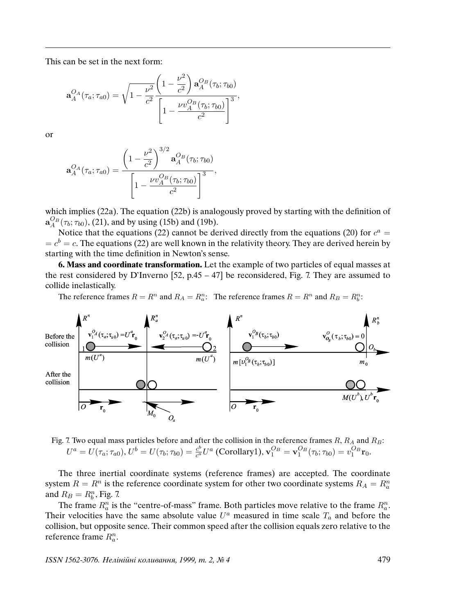This can be set in the next form:

$$
\mathbf{a}_{A}^{O_{A}}(\tau_{a};\tau_{a0}) = \sqrt{1 - \frac{\nu^{2}}{c^{2}}} \frac{\left(1 - \frac{\nu^{2}}{c^{2}}\right) \mathbf{a}_{A}^{O_{B}}(\tau_{b};\tau_{b0})}{\left[1 - \frac{\nu v_{A}^{O_{B}}(\tau_{b};\tau_{b0})}{c^{2}}\right]^{3}},
$$

or

$$
\mathbf{a}_{A}^{O_{A}}(\tau_{a};\tau_{a0}) = \frac{\left(1 - \frac{\nu^{2}}{c^{2}}\right)^{3/2} \mathbf{a}_{A}^{O_{B}}(\tau_{b};\tau_{b0})}{\left[1 - \frac{\nu v_{A}^{O_{B}}(\tau_{b};\tau_{b0})}{c^{2}}\right]^{3}},
$$

which implies (22a). The equation (22b) is analogously proved by starting with the definition of  $a_A^{O_B}(\tau_b; \tau_{b0}),$  (21), and by using (15b) and (19b).

Notice that the equations (22) cannot be derived directly from the equations (20) for  $c^a$  =  $b = c<sup>b</sup> = c$ . The equations (22) are well known in the relativity theory. They are derived herein by starting with the time definition in Newton's sense.

**6. Mass and coordinate transformation.** Let the example of two particles of equal masses at the rest considered by D'Inverno [52, p.45 – 47] be reconsidered, Fig. 7. They are assumed to collide inelastically.

The reference frames  $R = R^n$  and  $R_A = R_a^n$ . The reference frames  $R = R^n$  and  $R_B = R_b^n$ .



Fig. 7. Two equal mass particles before and after the collision in the reference frames  $R$ ,  $R_A$  and  $R_B$ :  $U^a = U(\tau_a; \tau_{a0}), U^b = U(\tau_b; \tau_{b0}) = \frac{c^b}{c^a}$  $\frac{c^b}{c^a}U^a$  (Corollary1),  $\mathbf{v}_1^{O_B} = \mathbf{v}_1^{O_B}(\tau_b; \tau_{b0}) = v_1^{O_B} \mathbf{r}_0.$ 

The three inertial coordinate systems (reference frames) are accepted. The coordinate system  $R = R^n$  is the reference coordinate system for other two coordinate systems  $R_A = R_a^n$ and  $R_B = R_b^n$ , Fig. 7.

The frame  $R_a^n$  is the "centre-of-mass" frame. Both particles move relative to the frame  $R_a^n$ . Their velocities have the same absolute value  $U^a$  measured in time scale  $T_a$  and before the collision, but opposite sence. Their common speed after the collision equals zero relative to the reference frame  $R_a^n$ .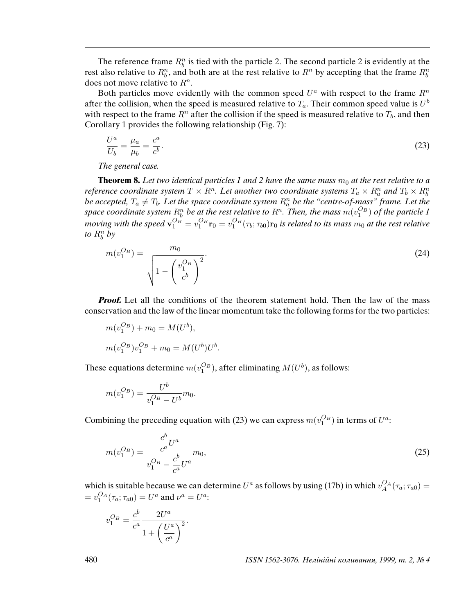The reference frame  $R_b^n$  is tied with the particle 2. The second particle 2 is evidently at the rest also relative to  $R_b^n$ , and both are at the rest relative to  $R^n$  by accepting that the frame  $R_b^n$ does not move relative to  $R^n$ .

Both particles move evidently with the common speed  $U^a$  with respect to the frame  $R^n$ after the collision, when the speed is measured relative to  $T_a$ . Their common speed value is  $U^b$ with respect to the frame  $R<sup>n</sup>$  after the collision if the speed is measured relative to  $T<sub>b</sub>$ , and then Corollary 1 provides the following relationship (Fig. 7):

$$
\frac{U^a}{U_b} = \frac{\mu_a}{\mu_b} = \frac{c^a}{c^b}.\tag{23}
$$

The general case.

**Theorem 8.** Let two identical particles 1 and 2 have the same mass  $m_0$  at the rest relative to a reference coordinate system  $T\times R^n$ . Let another two coordinate systems  $T_a\times R_a^n$  and  $T_b\times R_b^n$ be accepted,  $T_a \neq T_b$ . Let the space coordinate system  $R^n_a$  be the "centre-of-mass" frame. Let the space coordinate system  $R_b^n$  be at the rest relative to  $R^n$ . Then, the mass  $m(v_1^{O_B})$  of the particle  $1$ moving with the speed  ${\bf v}_1^{O_B}=v_1^{O_B} {\bf r}_0=v_1^{O_B}(\tau_b;\tau_{b0}){\bf r}_0$  is related to its mass  $m_0$  at the rest relative to  $R_b^n$  by

$$
m(v_1^{O_B}) = \frac{m_0}{\sqrt{1 - \left(\frac{v_1^{O_B}}{c^b}\right)^2}}.
$$
\n(24)

*Proof.* Let all the conditions of the theorem statement hold. Then the law of the mass conservation and the law of the linear momentum take the following forms for the two particles:

$$
m(v_1^{O_B}) + m_0 = M(U^b),
$$
  

$$
m(v_1^{O_B})v_1^{O_B} + m_0 = M(U^b)U
$$

These equations determine  $m(v_1^{O_B})$ , after eliminating  $M(U^b)$ , as follows:

 $\overline{b}$ .

$$
m(v_1^{O_B}) = \frac{U^b}{v_1^{O_B} - U^b} m_0.
$$

Combining the preceding equation with (23) we can express  $m(v_1^{O_B})$  in terms of  $U^a$ :

$$
m(v_1^{O_B}) = \frac{\frac{c^b}{c^a}U^a}{v_1^{O_B} - \frac{c^b}{c^a}U^a}m_0,
$$
\n(25)

which is suitable because we can determine  $U^a$  as follows by using (17b) in which  $v_A^{OA}(\tau_a; \tau_{a0}) =$  $= v_1^{OA}(\tau_a; \tau_{a0}) = U^a$  and  $\nu^a = U^a$ :

$$
v_1^{O_B} = \frac{c^b}{c^a} \frac{2U^a}{1 + \left(\frac{U^a}{c^a}\right)^2}.
$$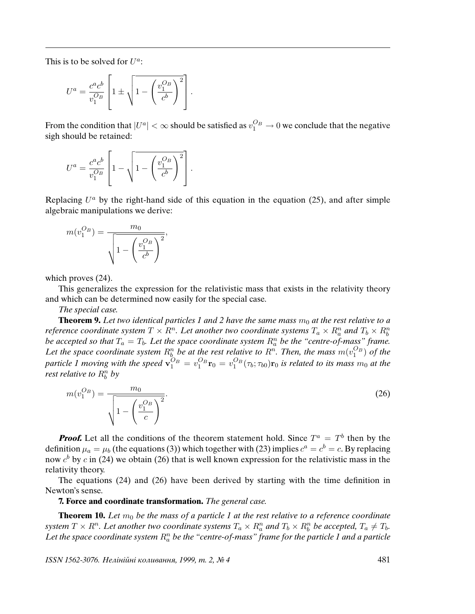This is to be solved for  $U^a$ :

$$
U^a = \frac{c^a c^b}{v_1^{O_B}} \left[ 1 \pm \sqrt{1 - \left(\frac{v_1^{O_B}}{c^b}\right)^2} \right].
$$

From the condition that  $|U^a| < \infty$  should be satisfied as  $v_1^{O_B} \to 0$  we conclude that the negative sigh should be retained:

$$
U^a = \frac{c^a c^b}{v_1^{O_B}} \left[ 1 - \sqrt{1 - \left(\frac{v_1^{O_B}}{c^b}\right)^2} \right].
$$

Replacing  $U^a$  by the right-hand side of this equation in the equation (25), and after simple algebraic manipulations we derive:

$$
m(v_1^{O_B}) = \frac{m_0}{\sqrt{1 - \left(\frac{v_1^{O_B}}{c^b}\right)^2}},
$$

which proves (24).

This generalizes the expression for the relativistic mass that exists in the relativity theory and which can be determined now easily for the special case.

The special case.

**Theorem 9.** Let two identical particles 1 and 2 have the same mass  $m_0$  at the rest relative to a reference coordinate system  $T\times R^n$ . Let another two coordinate systems  $T_a\times R_a^n$  and  $T_b\times R_b^n$ be accepted so that  $T_a = T_b$ . Let the space coordinate system  $R_a^n$  be the "centre-of-mass" frame. Let the space coordinate system  $R_b^n$  be at the rest relative to  $R^n$ . Then, the mass  $m(v_1^{O_B})$  of the particle 1 moving with the speed  $\mathbf{v}_1^{O_B}=v_1^{O_B}\mathbf{r}_0=v_1^{O_B}(\tau_b;\tau_{b0})\mathbf{r}_0$  is related to its mass  $m_0$  at the rest relative to  $R_b^n$  by

$$
m(v_1^{O_B}) = \frac{m_0}{\sqrt{1 - \left(\frac{v_1^{O_B}}{c}\right)^2}}.
$$
\n(26)

**Proof.** Let all the conditions of the theorem statement hold. Since  $T^a = T^b$  then by the definition  $\mu_a=\mu_b$  (the equations (3)) which together with (23) implies  $c^a=c^b=c.$  By replacing now  $c^b$  by c in (24) we obtain (26) that is well known expression for the relativistic mass in the relativity theory.

The equations (24) and (26) have been derived by starting with the time definition in Newton's sense.

**7. Force and coordinate transformation.** The general case.

**Theorem 10.** Let  $m_0$  be the mass of a particle 1 at the rest relative to a reference coordinate system  $T \times R^n$ . Let another two coordinate systems  $T_a \times R_a^n$  and  $T_b \times R_b^n$  be accepted,  $T_a \neq T_b$ . Let the space coordinate system  $R_a^n$  be the "centre-of-mass" frame for the particle 1 and a particle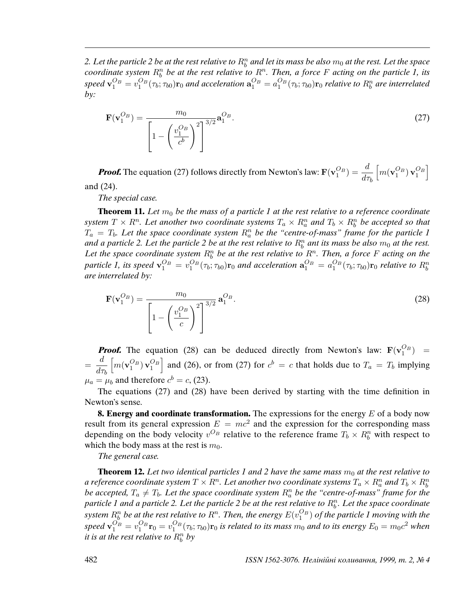2. Let the particle 2 be at the rest relative to  $R_b^n$  and let its mass be also  $m_0$  at the rest. Let the space coordinate system  $R_b^n$  be at the rest relative to  $R^n$ . Then, a force F acting on the particle 1, its speed  $\mathbf{v}_1^{O_B}=v_1^{O_B}(\tau_b;\tau_{b0})\mathbf{r}_0$  and acceleration  $\mathbf{a}_1^{O_B}=a_1^{O_B}(\tau_b;\tau_{b0})\mathbf{r}_0$  relative to  $R_b^n$  are interrelated  $by:$ 

$$
\mathbf{F}(\mathbf{v}_1^{O_B}) = \frac{m_0}{\left[1 - \left(\frac{v_1^{O_B}}{c^b}\right)^2\right]^{3/2}} \mathbf{a}_1^{O_B}.
$$
 (27)

**Proof.** The equation (27) follows directly from Newton's law:  $\mathbf{F}(\mathbf{v}_1^{O_B}) = \frac{d}{d\tau}$  $d\tau_b$  $\left[ m(\mathbf{v}_1^{O_B}) \mathbf{v}_1^{O_B} \right]$ and (24).

The special case.

**Theorem 11.** Let  $m_0$  be the mass of a particle 1 at the rest relative to a reference coordinate system  $T\times R^n$ . Let another two coordinate systems  $T_a\times R_a^n$  and  $T_b\times R_b^n$  be accepted so that  $T_a = T_b$ . Let the space coordinate system  $R_a^n$  be the "centre-of-mass" frame for the particle 1 and a particle 2. Let the particle 2 be at the rest relative to  $R_b^n$  ant its mass be also  $m_0$  at the rest. Let the space coordinate system  $R_b^n$  be at the rest relative to  $R^n$ . Then, a force F acting on the particle 1, its speed  $\mathbf{v}_1^{O_B} = v_1^{O_B}(\tau_b; \tau_{b0}) \mathbf{r}_0$  and acceleration  $\mathbf{a}_1^{O_B} = a_1^{O_B}(\tau_b; \tau_{b0}) \mathbf{r}_0$  relative to  $R_b^n$ are interrelated by:

$$
\mathbf{F}(\mathbf{v}_{1}^{O_{B}}) = \frac{m_{0}}{\left[1 - \left(\frac{v_{1}^{O_{B}}}{c}\right)^{2}\right]^{3/2}} \mathbf{a}_{1}^{O_{B}}.
$$
\n(28)

**Proof.** The equation (28) can be deduced directly from Newton's law:  $\mathbf{F}(\mathbf{v}_1^{O_B})$  =  $=\frac{d}{1}$  $d\tau_b$  $\left[m(v_1^{O_B})v_1^{O_B}\right]$  and (26), or from (27) for  $c^b = c$  that holds due to  $T_a = T_b$  implying  $\mu_a = \mu_b$  and therefore  $c^b = c$ , (23).

The equations (27) and (28) have been derived by starting with the time definition in Newton's sense.

**8. Energy and coordinate transformation.** The expressions for the energy E of a body now result from its general expression  $E = mc^2$  and the expression for the corresponding mass depending on the body velocity  $v^{O_B}$  relative to the reference frame  $T_b \times R_b^n$  with respect to which the body mass at the rest is  $m_0$ .

The general case.

**Theorem 12.** Let two identical particles 1 and 2 have the same mass  $m_0$  at the rest relative to a reference coordinate system  $T\times R^n$ . Let another two coordinate systems  $T_a\times R^n_a$  and  $T_b\times R^n_b$ be accepted,  $T_a \neq T_b$ . Let the space coordinate system  $R^n_a$  be the "centre-of-mass" frame for the particle 1 and a particle 2. Let the particle 2 be at the rest relative to  $R_b^n$ . Let the space coordinate system  $R_b^n$  be at the rest relative to  $R^n$ . Then, the energy  $E(v_1^{O_B})$  of the particle  $1$  moving with the speed  $\mathbf{v}_1^{O_B}=v_1^{O_B}\mathbf{r}_0=v_1^{O_B}(\tau_b;\tau_{b0})\mathbf{r}_0$  is related to its mass  $m_0$  and to its energy  $E_0=m_0c^2$  when it is at the rest relative to  $R_b^n$  by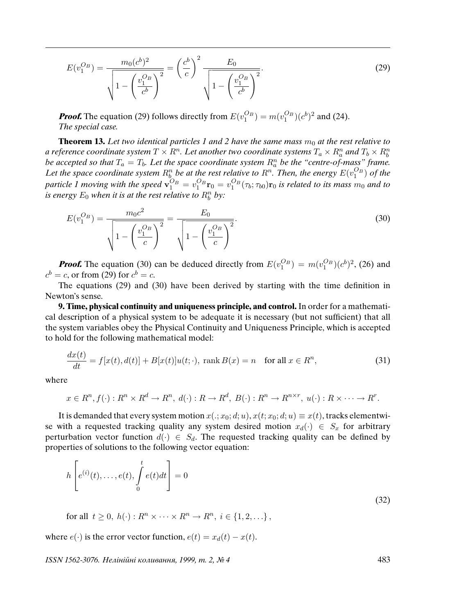$$
E(v_1^{O_B}) = \frac{m_0(c^b)^2}{\sqrt{1 - \left(\frac{v_1^{O_B}}{c^b}\right)^2}} = \left(\frac{c^b}{c}\right)^2 \frac{E_0}{\sqrt{1 - \left(\frac{v_1^{O_B}}{c^b}\right)^2}}.
$$
(29)

**Proof.** The equation (29) follows directly from  $E(v_1^{O_B}) = m(v_1^{O_B})(c^b)^2$  and (24). The special case.

**Theorem 13.** Let two identical particles 1 and 2 have the same mass  $m_0$  at the rest relative to a reference coordinate system  $T\times R^n$ . Let another two coordinate systems  $T_a\times R^n_a$  and  $T_b\times R^n_b$ be accepted so that  $T_a = T_b$ . Let the space coordinate system  $R_a^n$  be the "centre-of-mass" frame. Let the space coordinate system  $R_b^n$  be at the rest relative to  $R^n$ . Then, the energy  $E(v_1^{O_B})$  of the particle 1 moving with the speed  $\mathbf{v}_1^{O_B}=v_1^{O_B}\mathbf{r}_0=v_1^{O_B}(\tau_b;\tau_{b0})\mathbf{r}_0$  is related to its mass  $m_0$  and to is energy  $E_0$  when it is at the rest relative to  $R_b^n$  by:

$$
E(v_1^{O_B}) = \frac{m_0 c^2}{\sqrt{1 - \left(\frac{v_1^{O_B}}{c}\right)^2}} = \frac{E_0}{\sqrt{1 - \left(\frac{v_1^{O_B}}{c}\right)^2}}.
$$
\n(30)

**Proof.** The equation (30) can be deduced directly from  $E(v_1^{O_B}) = m(v_1^{O_B})(c^b)^2$ , (26) and  $c^b = c$ , or from (29) for  $c^b = c$ .

The equations (29) and (30) have been derived by starting with the time definition in Newton's sense.

**9. Time, physical continuity and uniqueness principle, and control.** In order for a mathematical description of a physical system to be adequate it is necessary (but not sufficient) that all the system variables obey the Physical Continuity and Uniqueness Principle, which is accepted to hold for the following mathematical model:

$$
\frac{dx(t)}{dt} = f[x(t), d(t)] + B[x(t)]u(t; \cdot), \text{ rank } B(x) = n \quad \text{for all } x \in R^n,
$$
\n(31)

where

$$
x \in R^n, f(\cdot) : R^n \times R^d \to R^n, d(\cdot) : R \to R^d, B(\cdot) : R^n \to R^{n \times r}, u(\cdot) : R \times \cdots \to R^r.
$$

It is demanded that every system motion  $x(:, x_0; d; u), x(t; x_0; d; u) \equiv x(t)$ , tracks elementwise with a requested tracking quality any system desired motion  $x_d(\cdot) \in S_x$  for arbitrary perturbation vector function  $d(\cdot) \in S_d$ . The requested tracking quality can be defined by properties of solutions to the following vector equation:

$$
h\left[e^{(i)}(t),\ldots,e(t),\int\limits_{0}^{t}e(t)dt\right]=0
$$
\n(32)

for all  $t \geq 0$ ,  $h(\cdot)$ :  $R^n \times \cdots \times R^n \to R^n$ ,  $i \in \{1, 2, \ldots\}$ ,

where  $e(\cdot)$  is the error vector function,  $e(t) = x_d(t) - x(t)$ .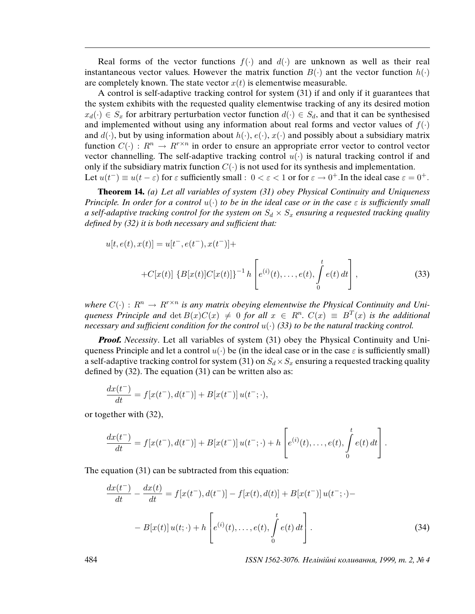Real forms of the vector functions  $f(\cdot)$  and  $d(\cdot)$  are unknown as well as their real instantaneous vector values. However the matrix function  $B(\cdot)$  ant the vector function  $h(\cdot)$ are completely known. The state vector  $x(t)$  is elementwise measurable.

A control is self-adaptive tracking control for system (31) if and only if it guarantees that the system exhibits with the requested quality elementwise tracking of any its desired motion  $x_d(\cdot) \in S_x$  for arbitrary perturbation vector function  $d(\cdot) \in S_d$ , and that it can be synthesised and implemented without using any information about real forms and vector values of  $f(\cdot)$ and  $d(\cdot)$ , but by using information about  $h(\cdot)$ ,  $e(\cdot)$ ,  $x(\cdot)$  and possibly about a subsidiary matrix function  $C(\cdot)$ :  $R^n \to R^{r \times n}$  in order to ensure an appropriate error vector to control vector vector channelling. The self-adaptive tracking control  $u(\cdot)$  is natural tracking control if and only if the subsidiary matrix function  $C(\cdot)$  is not used for its synthesis and implementation. Let  $u(t^-) \equiv u(t-\varepsilon)$  for  $\varepsilon$  sufficiently small :  $0 < \varepsilon < 1$  or for  $\varepsilon \to 0^+$ . In the ideal case  $\varepsilon = 0^+$ .

**Theorem 14.** (a) Let all variables of system (31) obey Physical Continuity and Uniqueness Principle. In order for a control  $u(\cdot)$  to be in the ideal case or in the case  $\varepsilon$  is sufficiently small a self-adaptive tracking control for the system on  $S_d \times S_x$  ensuring a requested tracking quality de*fi*ned by (32) it is both necessary and suf*fi*cient that:

$$
u[t, e(t), x(t)] = u[t^-, e(t^-), x(t^-)] +
$$
  
+
$$
C[x(t)] \{B[x(t)]C[x(t)]\}^{-1} h \left[e^{(i)}(t), \dots, e(t), \int_0^t e(t) dt\right],
$$
 (33)

where  $C(\cdot): R^n \to R^{r \times n}$  is any matrix obeying elementwise the Physical Continuity and Uniqueness Principle and  $\det B(x)C(x) \neq 0$  for all  $x \in R^n$ .  $C(x) \equiv B^T(x)$  is the additional necessary and sufficient condition for the control  $u(\cdot)$  (33) to be the natural tracking control.

**Proof.** Necessity. Let all variables of system (31) obey the Physical Continuity and Uniqueness Principle and let a control  $u(\cdot)$  be (in the ideal case or in the case  $\varepsilon$  is sufficiently small) a self-adaptive tracking control for system (31) on  $S_d \times S_x$  ensuring a requested tracking quality defined by (32). The equation (31) can be written also as:

$$
\frac{dx(t^{-})}{dt} = f[x(t^{-}), d(t^{-})] + B[x(t^{-})]u(t^{-}; \cdot),
$$

or together with (32),

$$
\frac{dx(t^{-})}{dt} = f[x(t^{-}), d(t^{-})] + B[x(t^{-})]u(t^{-}; \cdot) + h\left[e^{(i)}(t), \ldots, e(t), \int_{0}^{t} e(t) dt\right].
$$

The equation (31) can be subtracted from this equation:

$$
\frac{dx(t^{-})}{dt} - \frac{dx(t)}{dt} = f[x(t^{-}), d(t^{-})] - f[x(t), d(t)] + B[x(t^{-})]u(t^{-}; \cdot) -
$$

$$
- B[x(t)]u(t; \cdot) + h\left[e^{(i)}(t), \dots, e(t), \int_{0}^{t} e(t) dt\right].
$$
\n(34)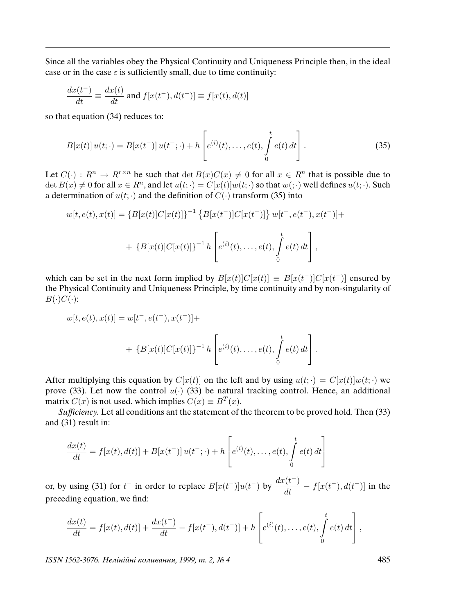Since all the variables obey the Physical Continuity and Uniqueness Principle then, in the ideal case or in the case  $\varepsilon$  is sufficiently small, due to time continuity:

$$
\frac{dx(t^{-})}{dt} \equiv \frac{dx(t)}{dt}
$$
 and  $f[x(t^{-}), d(t^{-})] \equiv f[x(t), d(t)]$ 

so that equation (34) reduces to:

$$
B[x(t)]u(t; \cdot) = B[x(t^-)]u(t^-; \cdot) + h\left[e^{(i)}(t), \dots, e(t), \int_0^t e(t) dt\right].
$$
 (35)

Let  $C(\cdot) : R^n \to R^{r \times n}$  be such that  $\det B(x)C(x) \neq 0$  for all  $x \in R^n$  that is possible due to  $\det B(x) \neq 0$  for all  $x \in R^n$ , and let  $u(t; \cdot) = C[x(t)]w(t; \cdot)$  so that  $w(\cdot; \cdot)$  well defines  $u(t; \cdot)$ . Such a determination of  $u(t; \cdot)$  and the definition of  $C(\cdot)$  transform (35) into

$$
w[t, e(t), x(t)] = \{B[x(t)]C[x(t)]\}^{-1} \{B[x(t^-)]C[x(t^-)]\} w[t^-, e(t^-, x(t^-)] +
$$
  
+ 
$$
\{B[x(t)]C[x(t)]\}^{-1} h \left[e^{(i)}(t), \ldots, e(t), \int_0^t e(t) dt\right],
$$

which can be set in the next form implied by  $B[x(t)]C[x(t)] \equiv B[x(t^-)]C[x(t^-)]$  ensured by the Physical Continuity and Uniqueness Principle, by time continuity and by non-singularity of  $B(\cdot)C(\cdot)$ :

$$
w[t, e(t), x(t)] = w[t^-, e(t^+), x(t^+)] +
$$
  
+ 
$$
\{B[x(t)]C[x(t)]\}^{-1}h\left[e^{(i)}(t), \ldots, e(t), \int_0^t e(t) dt\right].
$$

After multiplying this equation by  $C[x(t)]$  on the left and by using  $u(t; \cdot) = C[x(t)]w(t; \cdot)$  we prove (33). Let now the control  $u(\cdot)$  (33) be natural tracking control. Hence, an additional matrix  $C(x)$  is not used, which implies  $C(x) \equiv B^{T}(x)$ .

Suf*fi*ciency. Let all conditions ant the statement of the theorem to be proved hold. Then (33) and (31) result in:

$$
\frac{dx(t)}{dt} = f[x(t), d(t)] + B[x(t^-)]u(t^-; \cdot) + h\left[e^{(i)}(t), \dots, e(t), \int_0^t e(t) dt\right]
$$

or, by using (31) for  $t^-$  in order to replace  $B[x(t^-)]u(t^-)$  by  $\frac{dx(t^-)}{dt}$  $\frac{d(t-1)}{dt} - f[x(t^-), d(t^-)]$  in the preceding equation, we find:

$$
\frac{dx(t)}{dt} = f[x(t), d(t)] + \frac{dx(t^{-})}{dt} - f[x(t^{-}), d(t^{-})] + h\left[e^{(i)}(t), \dots, e(t), \int_{0}^{t} e(t) dt\right],
$$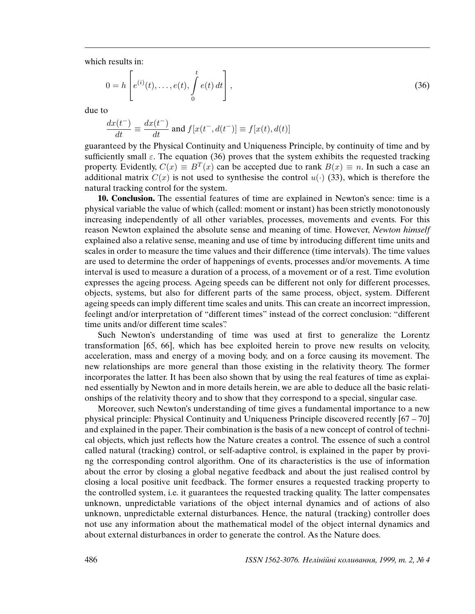which results in:

$$
0 = h\left[e^{(i)}(t), \dots, e(t), \int_{0}^{t} e(t) dt\right],
$$
\n(36)

due to

$$
\frac{dx(t^-)}{dt}\equiv \frac{dx(t^-)}{dt} \text{ and } f[x(t^-,d(t^-)]\equiv f[x(t),d(t)]
$$

guaranteed by the Physical Continuity and Uniqueness Principle, by continuity of time and by sufficiently small  $\varepsilon$ . The equation (36) proves that the system exhibits the requested tracking property. Evidently,  $C(x) \equiv B^T(x)$  can be accepted due to rank  $B(x) \equiv n$ . In such a case an additional matrix  $C(x)$  is not used to synthesise the control  $u(\cdot)$  (33), which is therefore the natural tracking control for the system.

**10. Conclusion.** The essential features of time are explained in Newton's sence: time is a physical variable the value of which (called: moment or instant) has been strictly monotonously increasing independently of all other variables, processes, movements and events. For this reason Newton explained the absolute sense and meaning of time. However, Newton himself explained also a relative sense, meaning and use of time by introducing different time units and scales in order to measure the time values and their difference (time intervals). The time values are used to determine the order of happenings of events, processes and/or movements. A time interval is used to measure a duration of a process, of a movement or of a rest. Time evolution expresses the ageing process. Ageing speeds can be different not only for different processes, objects, systems, but also for different parts of the same process, object, system. Different ageing speeds can imply different time scales and units. This can create an incorrect impression, feelingt and/or interpretation of "different times" instead of the correct conclusion: "different time units and/or different time scales".

Such Newton's understanding of time was used at first to generalize the Lorentz transformation [65, 66], which has bee exploited herein to prove new results on velocity, acceleration, mass and energy of a moving body, and on a force causing its movement. The new relationships are more general than those existing in the relativity theory. The former incorporates the latter. It has been also shown that by using the real features of time as explained essentially by Newton and in more details herein, we are able to deduce all the basic relationships of the relativity theory and to show that they correspond to a special, singular case.

Moreover, such Newton's understanding of time gives a fundamental importance to a new physical principle: Physical Continuity and Uniqueness Principle discovered recently [67 – 70] and explained in the paper. Their combination is the basis of a new concept of control of technical objects, which just reflects how the Nature creates a control. The essence of such a control called natural (tracking) control, or self-adaptive control, is explained in the paper by proving the corresponding control algorithm. One of its characteristics is the use of information about the error by closing a global negative feedback and about the just realised control by closing a local positive unit feedback. The former ensures a requested tracking property to the controlled system, i.e. it guarantees the requested tracking quality. The latter compensates unknown, unpredictable variations of the object internal dynamics and of actions of also unknown, unpredictable external disturbances. Hence, the natural (tracking) controller does not use any information about the mathematical model of the object internal dynamics and about external disturbances in order to generate the control. As the Nature does.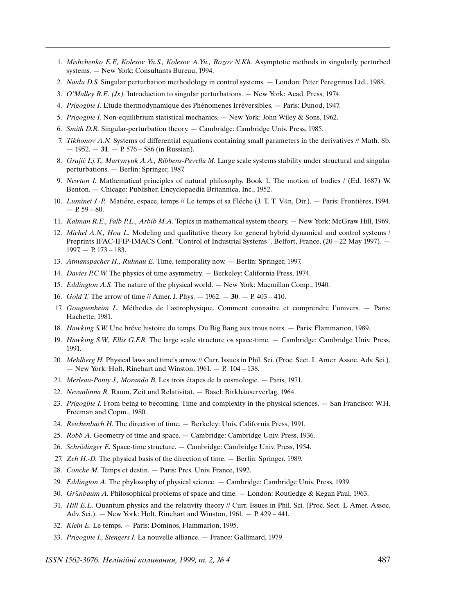- 1. Mishchenko E.F., Kolesov Yu.S., Kolesov A.Yu., Rozov N.Kh. Asymptotic methods in singularly perturbed systems. — New York: Consultants Bureau, 1994.
- 2. Naidu D.S. Singular perturbation methodology in control systems. London: Peter Peregrinus Ltd., 1988.
- 3. O'Malley R.E. (Jr.). Introduction to singular perturbations. New York: Acad. Press, 1974.
- 4. Prigogine I. Etude thermodynamique des Phénomenes Irréversibles. Paris: Dunod, 1947.
- 5. Prigogine I. Non-equilibrium statistical mechanics. New York: John Wiley & Sons, 1962.
- 6. Smith D.R. Singular-perturbation theory. Cambridge: Cambridge Univ. Press, 1985.
- 7. Tikhonov A.N. Systems of differential equations containing small parameters in the derivatives // Math. Sb. — 1952. — **31**. — P. 576 – 586 (in Russian).
- 8. Grujić Lj.T., Martynyuk A.A., Ribbens-Pavella M. Large scale systems stability under structural and singular perturbations. — Berlin: Springer, 1987.
- 9. Newton I. Mathematical principles of natural philosophy. Book 1. The motion of bodies / (Ed. 1687) W. Benton. — Chicago: Publisher, Encyclopaedia Britannica, Inc., 1952.
- 10. Luminet J.-P. Matiére, espace, temps // Le temps et sa Fléche (J. T. T. Vân, Dir.). Paris: Frontières, 1994.  $- P. 59 - 80.$
- 11. Kalman R.E., Falb P.L., Arbib M.A. Topics in mathematical system theory. New York: McGraw Hill, 1969.
- 12. Michel A.N., Hou L. Modeling and qualitative theory for general hybrid dynamical and control systems / Preprints IFAC-IFIP-IMACS Conf. "Control of Industrial Systems", Belfort, France, (20 – 22 May 1997). — 1997. — P. 173 – 183.
- 13. Atmanspacher H., Ruhnau E. Time, temporality now. Berlin: Springer, 1997.
- 14. Davies P.C.W. The physics of time asymmetry. Berkeley: California Press, 1974.
- 15. Eddington A.S. The nature of the physical world. New York: Macmillan Comp., 1940.
- 16. Gold T. The arrow of time // Amer. J. Phys. 1962. **30**. P. 403 410.
- 17. Gouguenheim L. Méthodes de l'astrophysique. Comment connaitre et comprendre l'univers. Paris: Hachette, 1981.
- 18. Hawking S.W. Une bréve histoire du temps. Du Big Bang aux trous noirs. Paris: Flammarion, 1989.
- 19. Hawking S.W., Ellis G.F.R. The large scale structure os space-time. Cambridge: Cambridge Univ. Press, 1991.
- 20. Mehlberg H. Physical laws and time's arrow // Curr. Issues in Phil. Sci. (Proc. Sect. L Amer. Assoc. Adv. Sci.). — New York: Holt, Rinehart and Winston, 1961. — P. 104 – 138.
- 21. Merleau-Ponty J., Morando B. Les trois étapes de la cosmologie. Paris, 1971.
- 22. Nevanlinna R. Raum, Zeit und Relativitat. Basel: Birkhäuserverlag, 1964.
- 23. Prigogine I. From being to becoming. Time and complexity in the physical sciences. San Francisco: W.H. Freeman and Copm., 1980.
- 24. Reichenbach H. The direction of time. Berkeley: Univ. California Press, 1991.
- 25. Robb A. Geometry of time and space. Cambridge: Cambridge Univ. Press, 1936.
- 26. Schrödinger E. Space-time structure. Cambridge: Cambridge Univ. Press, 1954.
- 27. Zeh H.-D. The physical basis of the direction of time. Berlin: Springer, 1989.
- 28. Conche M. Temps et destin. Paris: Pres. Univ. France, 1992.
- 29. Eddington A. The phylosophy of physical science. Cambridge: Cambridge Univ. Press, 1939.
- 30. Grünbaum A. Philosophical problems of space and time. London: Routledge & Kegan Paul, 1963.
- 31. Hill E.L. Quantum physics and the relativity theory // Curr. Issues in Phil. Sci. (Proc. Sect. L Amer. Assoc. Adv. Sci.). — New York: Holt, Rinehart and Winston, 1961. — P. 429 – 441.
- 32. Klein E. Le temps. Paris: Dominos, Flammarion, 1995.
- 33. Prigogine I., Stengers I. La nouvelle alliance. France: Gallimard, 1979.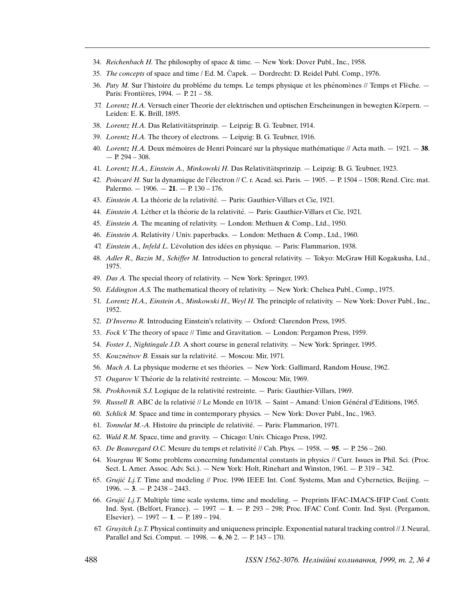- 34. Reichenbach H. The philosophy of space & time. New York: Dover Publ., Inc., 1958.
- 35. The concepts of space and time / Ed. M. Čapek. Dordrecht: D. Reidel Publ. Comp., 1976.
- 36. Paty M. Sur l'histoire du probléme du temps. Le temps physique et les phénomènes // Temps et Flèche. Paris: Frontières, 1994. — P. 21 - 58.
- 37. Lorentz H.A. Versuch einer Theorie der elektrischen und optischen Erscheinungen in bewegten Körpern. Leiden: E. K. Brill, 1895.
- 38. Lorentz H.A. Das Relativitätsprinzip. Leipzig: B. G. Teubner, 1914.
- 39. Lorentz H.A. The theory of electrons. Leipzig: B. G. Teubner, 1916.
- 40. Lorentz H.A. Deux mémoires de Henri Poincaré sur la physique mathématique // Acta math.  $-1921. 38$ .  $- P. 294 - 308.$
- 41. Lorentz H.A., Einstein A., Minkowski H. Das Relativitätsprinzip. Leipzig: B. G. Teubner, 1923.
- 42. Poincaré H. Sur la dynamique de l'électron // C. r. Acad. sci. Paris.  $-1905. P. 1504 1508$ ; Rend. Circ. mat. Palermo. — 1906. — **21**. — P. 130 – 176.
- 43. Einstein A. La théorie de la relativité. Paris: Gauthier-Villars et Cie, 1921.
- 44. Einstein A. Léther et la théorie de la relativité. Paris: Gauthier-Villars et Cie, 1921.
- 45. Einstein A. The meaning of relativity. London: Methuen & Comp., Ltd., 1950.
- 46. Einstein A. Relativity / Univ. paperbacks. London: Methuen & Comp., Ltd., 1960.
- 47. Einstein A., Infeld L. L'évolution des idées en physique. Paris: Flammarion, 1938.
- 48. Adler R., Bazin M., Schiffer M. Introduction to general relativity. Tokyo: McGraw Hill Kogakusha, Ltd., 1975.
- 49. Das A. The special theory of relativity. New York: Springer, 1993.
- 50. Eddington A.S. The mathematical theory of relativity. New York: Chelsea Publ., Comp., 1975.
- 51. Lorentz H.A., Einstein A., Minkowski H., Weyl H. The principle of relativity. New York: Dover Publ., Inc., 1952.
- 52. D'Inverno R. Introducing Einstein's relativity. Oxford: Clarendon Press, 1995.
- 53. Fock V. The theory of space // Time and Gravitation. London: Pergamon Press, 1959.
- 54. Foster J., Nightingale J.D. A short course in general relativity. New York: Springer, 1995.
- 55. Kouznétsov B. Essais sur la relativité. Moscou: Mir, 1971.
- 56. Mach A. La physique moderne et ses théories. New York: Gallimard, Random House, 1962.
- 57. Ougarov V. Théorie de la relativité restreinte. Moscou: Mir, 1969.
- 58. Prokhovnik S.J. Logique de la relativité restreinte. Paris: Gauthier-Villars, 1969.
- 59. Russell B. ABC de la relativié // Le Monde en  $10/18.$  Saint Amand: Union Général d'Editions, 1965.
- 60. Schlick M. Space and time in contemporary physics. New York: Dover Publ., Inc., 1963.
- 61. Tonnelat M.-A. Histoire du principle de relativité. Paris: Flammarion, 1971.
- 62. Wald R.M. Space, time and gravity. Chicago: Univ. Chicago Press, 1992.
- 63. De Beauregard O.C. Mesure du temps et relativité // Cah. Phys.  $1958. 95. P. 256 260.$
- 64. Yourgrau W. Some problems concerning fundamental constants in physics // Curr. Issues in Phil. Sci. (Proc. Sect. L Amer. Assoc. Adv. Sci.). — New York: Holt, Rinehart and Winston, 1961. — P. 319 – 342.
- 65. Grujić Lj.T. Time and modeling // Proc. 1996 IEEE Int. Conf. Systems, Man and Cybernetics, Beijing.  $-$ 1996. — **3**. — P. 2438 – 2443.
- 66. Grujić Lj.T. Multiple time scale systems, time and modeling.  $-$  Preprints IFAC-IMACS-IFIP Conf. Contr. Ind. Syst. (Belfort, France). — 1997. — **1**. — P. 293 – 298; Proc. IFAC Conf. Contr. Ind. Syst. (Pergamon, Elsevier). — 1997. — **1**. — P. 189 – 194.
- 67. Gruyitch Ly.T. Physical continuity and uniqueness principle. Exponential natural tracking control  $//$  J. Neural, Parallel and Sci. Comput. — 1998. — **6**, № 2. — P. 143 – 170.